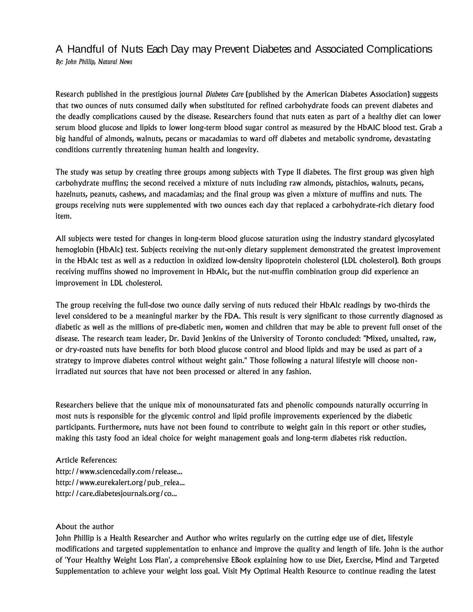## A Handful of Nuts Each Day may Prevent Diabetes and Associated Complications *By: John Phillip, Natural News*

Research published in the prestigious journal *Diabetes Care* (published by the American Diabetes Association) suggests that two ounces of nuts consumed daily when substituted for refined carbohydrate foods can prevent diabetes and the deadly complications caused by the disease. Researchers found that nuts eaten as part of a healthy diet can lower serum blood glucose and lipids to lower long-term blood sugar control as measured by the HbA1C blood test. Grab a big handful of almonds, walnuts, pecans or macadamias to ward off diabetes and metabolic syndrome, devastating conditions currently threatening human health and longevity.

The study was setup by creating three groups among subjects with Type II diabetes. The first group was given high carbohydrate muffins; the second received a mixture of nuts including raw almonds, pistachios, walnuts, pecans, hazelnuts, peanuts, cashews, and macadamias; and the final group was given a mixture of muffins and nuts. The groups receiving nuts were supplemented with two ounces each day that replaced a carbohydrate-rich dietary food item.

All subjects were tested for changes in long-term blood glucose saturation using the industry standard glycosylated hemoglobin (HbA1c) test. Subjects receiving the nut-only dietary supplement demonstrated the greatest improvement in the HbA1c test as well as a reduction in oxidized low-density lipoprotein cholesterol (LDL cholesterol). Both groups receiving muffins showed no improvement in HbA1c, but the nut-muffin combination group did experience an improvement in LDL cholesterol.

The group receiving the full-dose two ounce daily serving of nuts reduced their HbA1c readings by two-thirds the level considered to be a meaningful marker by the FDA. This result is very significant to those currently diagnosed as diabetic as well as the millions of pre-diabetic men, women and children that may be able to prevent full onset of the disease. The research team leader, Dr. David Jenkins of the University of Toronto concluded: "Mixed, unsalted, raw, or dry-roasted nuts have benefits for both blood glucose control and blood lipids and may be used as part of a strategy to improve diabetes control without weight gain." Those following a natural lifestyle will choose nonirradiated nut sources that have not been processed or altered in any fashion.

Researchers believe that the unique mix of monounsaturated fats and phenolic compounds naturally occurring in most nuts is responsible for the glycemic control and lipid profile improvements experienced by the diabetic participants. Furthermore, nuts have not been found to contribute to weight gain in this report or other studies, making this tasty food an ideal choice for weight management goals and long-term diabetes risk reduction.

Article References: http://www.sciencedaily.com/release... http://www.eurekalert.org/pub\_relea... http://care.diabetesjournals.org/co...

## About the author

John Phillip is a Health Researcher and Author who writes regularly on the cutting edge use of diet, lifestyle modifications and targeted supplementation to enhance and improve the quality and length of life. John is the author of 'Your Healthy Weight Loss Plan', a comprehensive EBook explaining how to use Diet, Exercise, Mind and Targeted Supplementation to achieve your weight loss goal. Visit My Optimal Health Resource to continue reading the latest